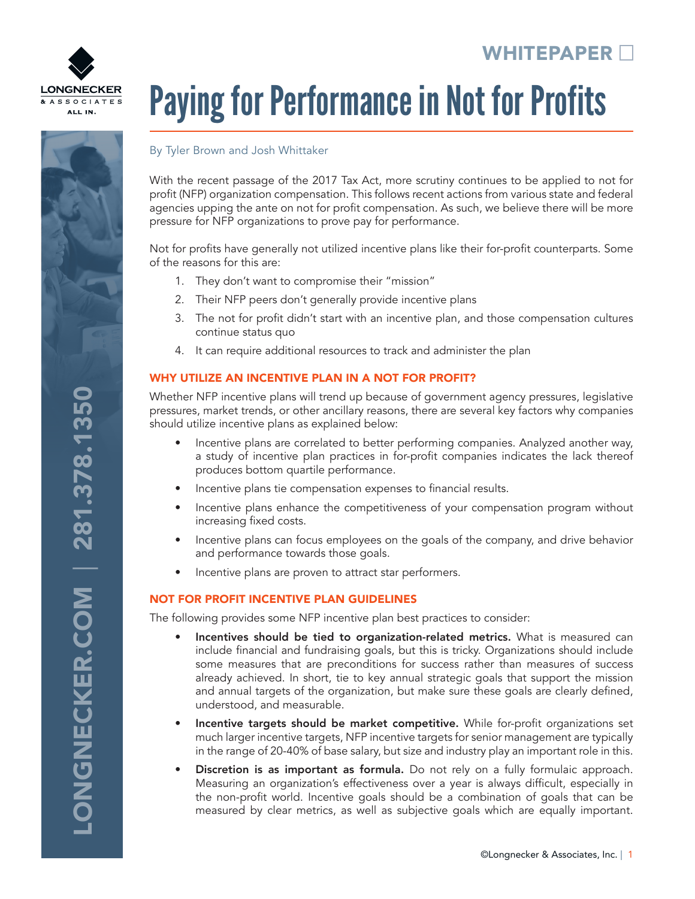

# **ONGNECKER.COM | 281.378.1350** LONGNECKER.COM | 281.378.1350

# Paying for Performance in Not for Profits

### By Tyler Brown and Josh Whittaker

With the recent passage of the 2017 Tax Act, more scrutiny continues to be applied to not for profit (NFP) organization compensation. This follows recent actions from various state and federal agencies upping the ante on not for profit compensation. As such, we believe there will be more pressure for NFP organizations to prove pay for performance.

Not for profits have generally not utilized incentive plans like their for-profit counterparts. Some of the reasons for this are:

- 1. They don't want to compromise their "mission"
- 2. Their NFP peers don't generally provide incentive plans
- 3. The not for profit didn't start with an incentive plan, and those compensation cultures continue status quo
- 4. It can require additional resources to track and administer the plan

### WHY UTILIZE AN INCENTIVE PLAN IN A NOT FOR PROFIT?

Whether NFP incentive plans will trend up because of government agency pressures, legislative pressures, market trends, or other ancillary reasons, there are several key factors why companies should utilize incentive plans as explained below:

- Incentive plans are correlated to better performing companies. Analyzed another way, a study of incentive plan practices in for-profit companies indicates the lack thereof produces bottom quartile performance.
- Incentive plans tie compensation expenses to financial results.
- Incentive plans enhance the competitiveness of your compensation program without increasing fixed costs.
- Incentive plans can focus employees on the goals of the company, and drive behavior and performance towards those goals.
- Incentive plans are proven to attract star performers.

### NOT FOR PROFIT INCENTIVE PLAN GUIDELINES

The following provides some NFP incentive plan best practices to consider:

- Incentives should be tied to organization-related metrics. What is measured can include financial and fundraising goals, but this is tricky. Organizations should include some measures that are preconditions for success rather than measures of success already achieved. In short, tie to key annual strategic goals that support the mission and annual targets of the organization, but make sure these goals are clearly defined, understood, and measurable.
- Incentive targets should be market competitive. While for-profit organizations set much larger incentive targets, NFP incentive targets for senior management are typically in the range of 20-40% of base salary, but size and industry play an important role in this.
- **Discretion is as important as formula.** Do not rely on a fully formulaic approach. Measuring an organization's effectiveness over a year is always difficult, especially in the non-profit world. Incentive goals should be a combination of goals that can be measured by clear metrics, as well as subjective goals which are equally important.